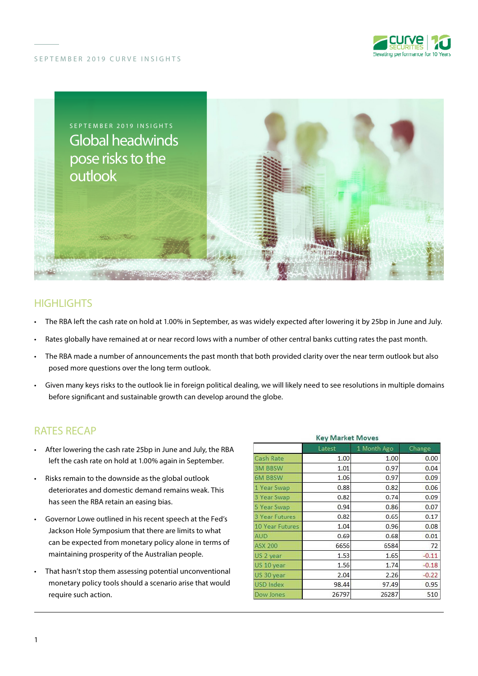

#### SEPTEMBER 2019 CURVE INSIGHTS



# **HIGHLIGHTS**

- The RBA left the cash rate on hold at 1.00% in September, as was widely expected after lowering it by 25bp in June and July.
- Rates globally have remained at or near record lows with a number of other central banks cutting rates the past month.
- The RBA made a number of announcements the past month that both provided clarity over the near term outlook but also posed more questions over the long term outlook.
- Given many keys risks to the outlook lie in foreign political dealing, we will likely need to see resolutions in multiple domains before significant and sustainable growth can develop around the globe.

## RATES RECAP

- After lowering the cash rate 25bp in June and July, the RBA left the cash rate on hold at 1.00% again in September.
- Risks remain to the downside as the global outlook deteriorates and domestic demand remains weak. This has seen the RBA retain an easing bias.
- Governor Lowe outlined in his recent speech at the Fed's Jackson Hole Symposium that there are limits to what can be expected from monetary policy alone in terms of maintaining prosperity of the Australian people.
- That hasn't stop them assessing potential unconventional monetary policy tools should a scenario arise that would require such action.

| <b>Key Market Moves</b> |        |             |         |
|-------------------------|--------|-------------|---------|
|                         | Latest | 1 Month Ago | Change  |
| Cash Rate               | 1.00   | 1.00        | 0.00    |
| <b>3M BBSW</b>          | 1.01   | 0.97        | 0.04    |
| <b>6M BBSW</b>          | 1.06   | 0.97        | 0.09    |
| 1 Year Swap             | 0.88   | 0.82        | 0.06    |
| 3 Year Swap             | 0.82   | 0.74        | 0.09    |
| 5 Year Swap             | 0.94   | 0.86        | 0.07    |
| <b>3 Year Futures</b>   | 0.82   | 0.65        | 0.17    |
| 10 Year Futures         | 1.04   | 0.96        | 0.08    |
| <b>AUD</b>              | 0.69   | 0.68        | 0.01    |
| <b>ASX 200</b>          | 6656   | 6584        | 72      |
| US 2 year               | 1.53   | 1.65        | $-0.11$ |
| US 10 year              | 1.56   | 1.74        | $-0.18$ |
| US 30 year              | 2.04   | 2.26        | $-0.22$ |
| <b>USD Index</b>        | 98.44  | 97.49       | 0.95    |
| Dow Jones               | 26797  | 26287       | 510     |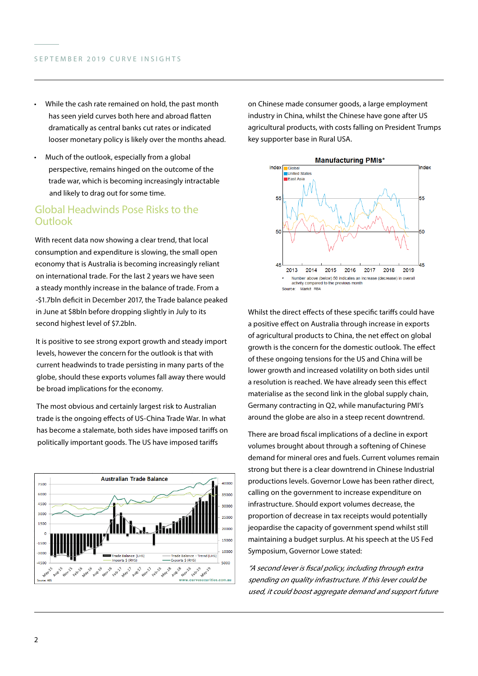- While the cash rate remained on hold, the past month has seen yield curves both here and abroad flatten dramatically as central banks cut rates or indicated looser monetary policy is likely over the months ahead.
- Much of the outlook, especially from a global perspective, remains hinged on the outcome of the trade war, which is becoming increasingly intractable and likely to drag out for some time.

## Global Headwinds Pose Risks to the **Outlook**

With recent data now showing a clear trend, that local consumption and expenditure is slowing, the small open economy that is Australia is becoming increasingly reliant on international trade. For the last 2 years we have seen a steady monthly increase in the balance of trade. From a -\$1.7bln deficit in December 2017, the Trade balance peaked in June at \$8bln before dropping slightly in July to its second highest level of \$7.2bln.

It is positive to see strong export growth and steady import levels, however the concern for the outlook is that with current headwinds to trade persisting in many parts of the globe, should these exports volumes fall away there would be broad implications for the economy.

The most obvious and certainly largest risk to Australian trade is the ongoing effects of US-China Trade War. In what has become a stalemate, both sides have imposed tariffs on politically important goods. The US have imposed tariffs



on Chinese made consumer goods, a large employment industry in China, whilst the Chinese have gone after US agricultural products, with costs falling on President Trumps key supporter base in Rural USA.



Whilst the direct effects of these specific tariffs could have a positive effect on Australia through increase in exports of agricultural products to China, the net effect on global growth is the concern for the domestic outlook. The effect of these ongoing tensions for the US and China will be lower growth and increased volatility on both sides until a resolution is reached. We have already seen this effect materialise as the second link in the global supply chain, Germany contracting in Q2, while manufacturing PMI's around the globe are also in a steep recent downtrend.

There are broad fiscal implications of a decline in export volumes brought about through a softening of Chinese demand for mineral ores and fuels. Current volumes remain strong but there is a clear downtrend in Chinese Industrial productions levels. Governor Lowe has been rather direct, calling on the government to increase expenditure on infrastructure. Should export volumes decrease, the proportion of decrease in tax receipts would potentially jeopardise the capacity of government spend whilst still maintaining a budget surplus. At his speech at the US Fed Symposium, Governor Lowe stated:

"A second lever is fiscal policy, including through extra spending on quality infrastructure. If this lever could be used, it could boost aggregate demand and support future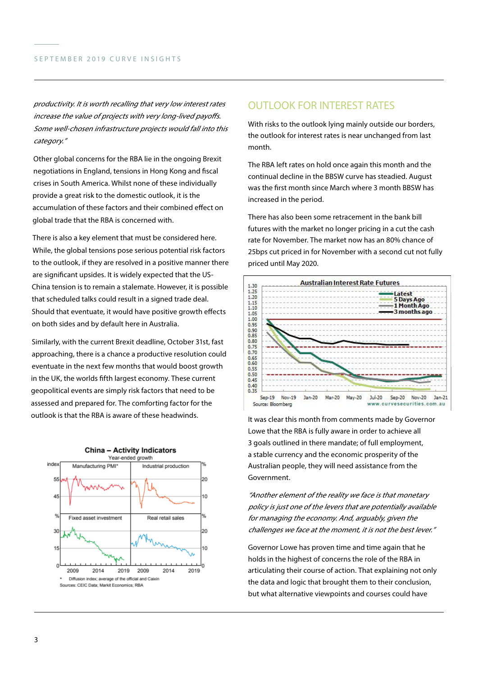productivity. It is worth recalling that very low interest rates increase the value of projects with very long-lived payoffs. Some well-chosen infrastructure projects would fall into this category."

Other global concerns for the RBA lie in the ongoing Brexit negotiations in England, tensions in Hong Kong and fiscal crises in South America. Whilst none of these individually provide a great risk to the domestic outlook, it is the accumulation of these factors and their combined effect on global trade that the RBA is concerned with.

There is also a key element that must be considered here. While, the global tensions pose serious potential risk factors to the outlook, if they are resolved in a positive manner there are significant upsides. It is widely expected that the US-China tension is to remain a stalemate. However, it is possible that scheduled talks could result in a signed trade deal. Should that eventuate, it would have positive growth effects on both sides and by default here in Australia.

Similarly, with the current Brexit deadline, October 31st, fast approaching, there is a chance a productive resolution could eventuate in the next few months that would boost growth in the UK, the worlds fifth largest economy. These current geopolitical events are simply risk factors that need to be assessed and prepared for. The comforting factor for the outlook is that the RBA is aware of these headwinds.



## OUTLOOK FOR INTEREST RATES

With risks to the outlook lying mainly outside our borders, the outlook for interest rates is near unchanged from last month.

The RBA left rates on hold once again this month and the continual decline in the BBSW curve has steadied. August was the first month since March where 3 month BBSW has increased in the period.

There has also been some retracement in the bank bill futures with the market no longer pricing in a cut the cash rate for November. The market now has an 80% chance of 25bps cut priced in for November with a second cut not fully priced until May 2020.



It was clear this month from comments made by Governor Lowe that the RBA is fully aware in order to achieve all 3 goals outlined in there mandate; of full employment, a stable currency and the economic prosperity of the Australian people, they will need assistance from the Government.

"Another element of the reality we face is that monetary policy is just one of the levers that are potentially available for managing the economy. And, arguably, given the challenges we face at the moment, it is not the best lever."

Governor Lowe has proven time and time again that he holds in the highest of concerns the role of the RBA in articulating their course of action. That explaining not only the data and logic that brought them to their conclusion, but what alternative viewpoints and courses could have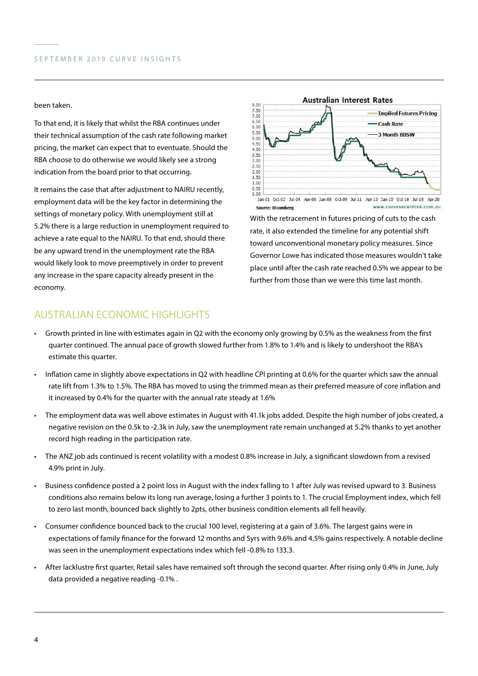#### been taken.

To that end, it is likely that whilst the RBA continues under their technical assumption of the cash rate following market pricing, the market can expect that to eventuate. Should the RBA choose to do otherwise we would likely see a strong indication from the board prior to that occurring.

It remains the case that after adjustment to NAIRU recently, employment data will be the key factor in determining the settings of monetary policy. With unemployment still at 5.2% there is a large reduction in unemployment required to achieve a rate equal to the NAIRU. To that end, should there be any upward trend in the unemployment rate the RBA would likely look to move preemptively in order to prevent any increase in the spare capacity already present in the economy.



With the retracement in futures pricing of cuts to the cash rate, it also extended the timeline for any potential shift toward unconventional monetary policy measures. Since Governor Lowe has indicated those measures wouldn't take place until after the cash rate reached 0.5% we appear to be further from those than we were this time last month.

# AUSTRALIAN FCONOMIC HIGHLIGHTS

- Growth printed in line with estimates again in Q2 with the economy only growing by 0.5% as the weakness from the first quarter continued. The annual pace of growth slowed further from 1.8% to 1.4% and is likely to undershoot the RBA's estimate this quarter.
- Inflation came in slightly above expectations in Q2 with headline CPI printing at 0.6% for the quarter which saw the annual rate lift from 1.3% to 1.5%. The RBA has moved to using the trimmed mean as their preferred measure of core inflation and it increased by 0.4% for the quarter with the annual rate steady at 1.6%
- The employment data was well above estimates in August with 41.1k jobs added. Despite the high number of jobs created, a negative revision on the 0.5k to -2.3k in July, saw the unemployment rate remain unchanged at 5.2% thanks to yet another record high reading in the participation rate.
- The ANZ job ads continued is recent volatility with a modest 0.8% increase in July, a significant slowdown from a revised 4.9% print in July.
- Business confidence posted a 2 point loss in August with the index falling to 1 after July was revised upward to 3. Business conditions also remains below its long run average, losing a further 3 points to 1. The crucial Employment index, which fell to zero last month, bounced back slightly to 2pts, other business condition elements all fell heavily.
- Consumer confidence bounced back to the crucial 100 level, registering at a gain of 3.6%. The largest gains were in expectations of family finance for the forward 12 months and 5yrs with 9.6% and 4.5% gains respectively. A notable decline was seen in the unemployment expectations index which fell -0.8% to 133.3.
- After lacklustre first quarter, Retail sales have remained soft through the second quarter. After rising only 0.4% in June, July data provided a negative reading -0.1% .